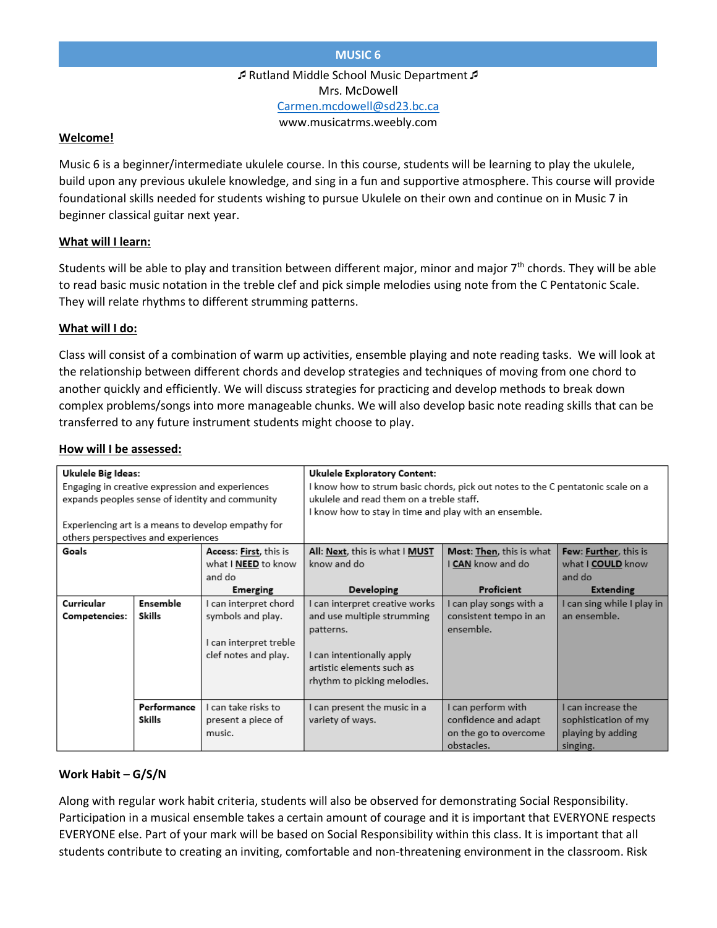Rutland Middle School Music Department Mrs. McDowell [Carmen.mcdowell@sd23.bc.ca](mailto:Carmen.mcdowell@sd23.bc.ca) www.musicatrms.weebly.com

#### **Welcome!**

Music 6 is a beginner/intermediate ukulele course. In this course, students will be learning to play the ukulele, build upon any previous ukulele knowledge, and sing in a fun and supportive atmosphere. This course will provide foundational skills needed for students wishing to pursue Ukulele on their own and continue on in Music 7 in beginner classical guitar next year.

## **What will I learn:**

Students will be able to play and transition between different major, minor and major  $7<sup>th</sup>$  chords. They will be able to read basic music notation in the treble clef and pick simple melodies using note from the C Pentatonic Scale. They will relate rhythms to different strumming patterns.

## **What will I do:**

Class will consist of a combination of warm up activities, ensemble playing and note reading tasks. We will look at the relationship between different chords and develop strategies and techniques of moving from one chord to another quickly and efficiently. We will discuss strategies for practicing and develop methods to break down complex problems/songs into more manageable chunks. We will also develop basic note reading skills that can be transferred to any future instrument students might choose to play.

#### **How will I be assessed:**

| <b>Ukulele Big Ideas:</b>                          |             |                        | <b>Ukulele Exploratory Content:</b>                                             |                                  |                              |
|----------------------------------------------------|-------------|------------------------|---------------------------------------------------------------------------------|----------------------------------|------------------------------|
| Engaging in creative expression and experiences    |             |                        | I know how to strum basic chords, pick out notes to the C pentatonic scale on a |                                  |                              |
| expands peoples sense of identity and community    |             |                        | ukulele and read them on a treble staff.                                        |                                  |                              |
|                                                    |             |                        | I know how to stay in time and play with an ensemble.                           |                                  |                              |
| Experiencing art is a means to develop empathy for |             |                        |                                                                                 |                                  |                              |
| others perspectives and experiences                |             |                        |                                                                                 |                                  |                              |
| Goals                                              |             | Access: First, this is | All: Next, this is what I MUST                                                  | <b>Most: Then</b> , this is what | <b>Few: Further, this is</b> |
|                                                    |             | what I NEED to know    | know and do                                                                     | I <b>CAN</b> know and do         | what I COULD know            |
|                                                    |             | and do                 |                                                                                 |                                  | and do                       |
|                                                    |             |                        |                                                                                 |                                  |                              |
|                                                    |             | <b>Emerging</b>        | Developing                                                                      | Proficient                       | <b>Extending</b>             |
| Curricular                                         | Ensemble    | I can interpret chord  | I can interpret creative works                                                  | I can play songs with a          | I can sing while I play in   |
| <b>Competencies:</b>                               | Skills      | symbols and play.      | and use multiple strumming                                                      | consistent tempo in an           | an ensemble.                 |
|                                                    |             |                        | patterns.                                                                       | ensemble.                        |                              |
|                                                    |             | I can interpret treble |                                                                                 |                                  |                              |
|                                                    |             | clef notes and play.   | I can intentionally apply                                                       |                                  |                              |
|                                                    |             |                        | artistic elements such as                                                       |                                  |                              |
|                                                    |             |                        |                                                                                 |                                  |                              |
|                                                    |             |                        | rhythm to picking melodies.                                                     |                                  |                              |
|                                                    | Performance | I can take risks to    | I can present the music in a                                                    | I can perform with               | I can increase the           |
|                                                    |             |                        |                                                                                 |                                  |                              |
|                                                    | Skills      | present a piece of     | variety of ways.                                                                | confidence and adapt             | sophistication of my         |
|                                                    |             | music.                 |                                                                                 | on the go to overcome            | playing by adding            |
|                                                    |             |                        |                                                                                 | obstacles.                       | singing.                     |

## **Work Habit – G/S/N**

Along with regular work habit criteria, students will also be observed for demonstrating Social Responsibility. Participation in a musical ensemble takes a certain amount of courage and it is important that EVERYONE respects EVERYONE else. Part of your mark will be based on Social Responsibility within this class. It is important that all students contribute to creating an inviting, comfortable and non-threatening environment in the classroom. Risk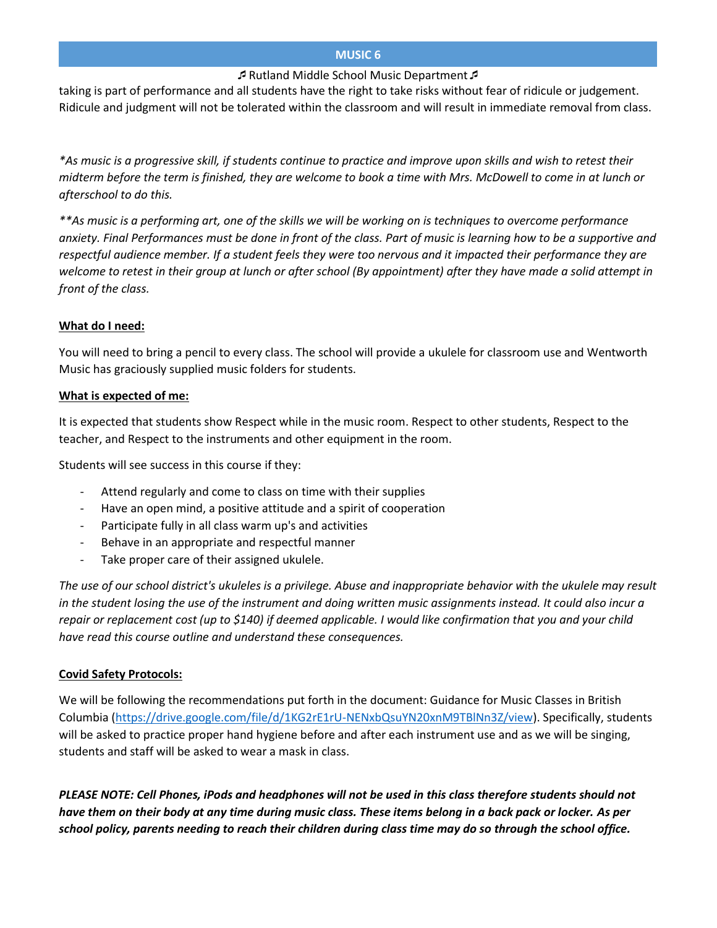## **MUSIC 6**

# Rutland Middle School Music Department

taking is part of performance and all students have the right to take risks without fear of ridicule or judgement. Ridicule and judgment will not be tolerated within the classroom and will result in immediate removal from class.

*\*As music is a progressive skill, if students continue to practice and improve upon skills and wish to retest their midterm before the term is finished, they are welcome to book a time with Mrs. McDowell to come in at lunch or afterschool to do this.* 

*\*\*As music is a performing art, one of the skills we will be working on is techniques to overcome performance anxiety. Final Performances must be done in front of the class. Part of music is learning how to be a supportive and respectful audience member. If a student feels they were too nervous and it impacted their performance they are welcome to retest in their group at lunch or after school (By appointment) after they have made a solid attempt in front of the class.* 

# **What do I need:**

You will need to bring a pencil to every class. The school will provide a ukulele for classroom use and Wentworth Music has graciously supplied music folders for students.

# **What is expected of me:**

It is expected that students show Respect while in the music room. Respect to other students, Respect to the teacher, and Respect to the instruments and other equipment in the room.

Students will see success in this course if they:

- Attend regularly and come to class on time with their supplies
- Have an open mind, a positive attitude and a spirit of cooperation
- Participate fully in all class warm up's and activities
- Behave in an appropriate and respectful manner
- Take proper care of their assigned ukulele.

*The use of our school district's ukuleles is a privilege. Abuse and inappropriate behavior with the ukulele may result in the student losing the use of the instrument and doing written music assignments instead. It could also incur a repair or replacement cost (up to \$140) if deemed applicable. I would like confirmation that you and your child have read this course outline and understand these consequences.* 

# **Covid Safety Protocols:**

We will be following the recommendations put forth in the document: Guidance for Music Classes in British Columbia [\(https://drive.google.com/file/d/1KG2rE1rU-NENxbQsuYN20xnM9TBlNn3Z/view\)](https://drive.google.com/file/d/1KG2rE1rU-NENxbQsuYN20xnM9TBlNn3Z/view). Specifically, students will be asked to practice proper hand hygiene before and after each instrument use and as we will be singing, students and staff will be asked to wear a mask in class.

*PLEASE NOTE: Cell Phones, iPods and headphones will not be used in this class therefore students should not have them on their body at any time during music class. These items belong in a back pack or locker. As per school policy, parents needing to reach their children during class time may do so through the school office.*